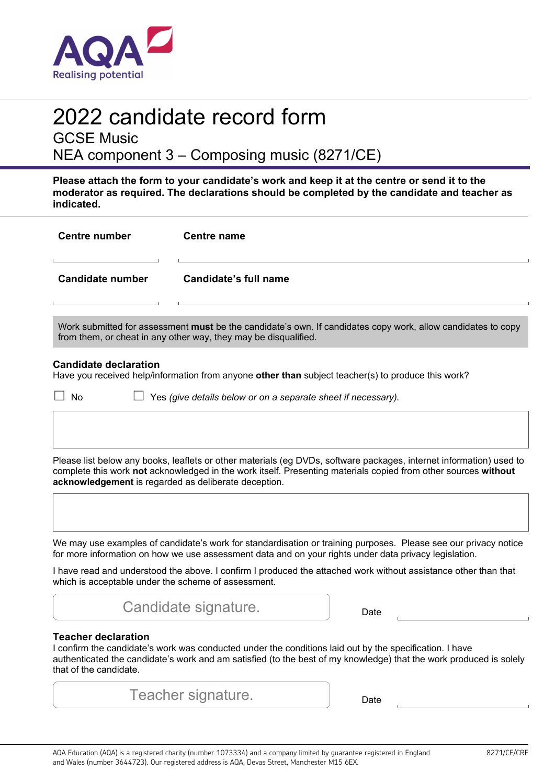

# 2022 candidate record form

GCSE Music

NEA component 3 – Composing music (8271/CE)

**Please attach the form to your candidate's work and keep it at the centre or send it to the moderator as required. The declarations should be completed by the candidate and teacher as indicated.** 

| <b>Centre number</b>                                                                                                                                                                                                                                                                          | <b>Centre name</b>                                            |                                                                                                                 |  |  |  |  |
|-----------------------------------------------------------------------------------------------------------------------------------------------------------------------------------------------------------------------------------------------------------------------------------------------|---------------------------------------------------------------|-----------------------------------------------------------------------------------------------------------------|--|--|--|--|
| <b>Candidate number</b>                                                                                                                                                                                                                                                                       | <b>Candidate's full name</b>                                  |                                                                                                                 |  |  |  |  |
| Work submitted for assessment must be the candidate's own. If candidates copy work, allow candidates to copy<br>from them, or cheat in any other way, they may be disqualified.                                                                                                               |                                                               |                                                                                                                 |  |  |  |  |
| <b>Candidate declaration</b><br>Have you received help/information from anyone other than subject teacher(s) to produce this work?                                                                                                                                                            |                                                               |                                                                                                                 |  |  |  |  |
| <b>No</b>                                                                                                                                                                                                                                                                                     | Yes (give details below or on a separate sheet if necessary). |                                                                                                                 |  |  |  |  |
|                                                                                                                                                                                                                                                                                               |                                                               |                                                                                                                 |  |  |  |  |
| Please list below any books, leaflets or other materials (eg DVDs, software packages, internet information) used to<br>complete this work not acknowledged in the work itself. Presenting materials copied from other sources without<br>acknowledgement is regarded as deliberate deception. |                                                               |                                                                                                                 |  |  |  |  |
|                                                                                                                                                                                                                                                                                               |                                                               |                                                                                                                 |  |  |  |  |
| We may use examples of candidate's work for standardisation or training purposes. Please see our privacy notice<br>for more information on how we use assessment data and on your rights under data privacy legislation.                                                                      |                                                               |                                                                                                                 |  |  |  |  |
| which is acceptable under the scheme of assessment.                                                                                                                                                                                                                                           |                                                               | I have read and understood the above. I confirm I produced the attached work without assistance other than that |  |  |  |  |
|                                                                                                                                                                                                                                                                                               | Candidate signature.                                          | Date                                                                                                            |  |  |  |  |
| <b>Teacher declaration</b><br>I confirm the candidate's work was conducted under the conditions laid out by the specification. I have<br>authenticated the candidate's work and am satisfied (to the best of my knowledge) that the work produced is solely<br>that of the candidate.         |                                                               |                                                                                                                 |  |  |  |  |

| AQA Education (AQA) is a registered charity (number 1073334) and a company limited by guarantee registered in England |
|-----------------------------------------------------------------------------------------------------------------------|
| and Wales (number 3644723). Our registered address is AQA, Devas Street, Manchester M15 6EX.                          |

Teacher signature.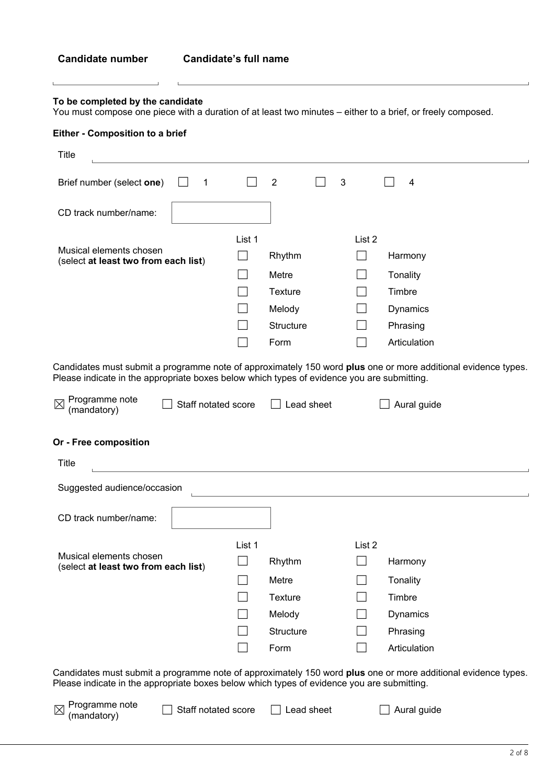Ĺ

### **To be completed by the candidate**

 $\mathbf{r}$ 

 $\overline{L}$ 

You must compose one piece with a duration of at least two minutes – either to a brief, or freely composed.

# **Either - Composition to a brief**

| <b>Title</b>                                                                                                                                                                                                |                     |        |                   |   |        |          |              |  |  |
|-------------------------------------------------------------------------------------------------------------------------------------------------------------------------------------------------------------|---------------------|--------|-------------------|---|--------|----------|--------------|--|--|
| Brief number (select one)                                                                                                                                                                                   | 1                   |        | $\overline{2}$    | 3 |        |          | 4            |  |  |
| CD track number/name:                                                                                                                                                                                       |                     |        |                   |   |        |          |              |  |  |
|                                                                                                                                                                                                             |                     | List 1 |                   |   | List 2 |          |              |  |  |
| Musical elements chosen<br>(select at least two from each list)                                                                                                                                             |                     |        | Rhythm<br>Harmony |   |        |          |              |  |  |
|                                                                                                                                                                                                             |                     |        | Metre             |   |        | Tonality |              |  |  |
|                                                                                                                                                                                                             |                     |        | <b>Texture</b>    |   |        | Timbre   |              |  |  |
|                                                                                                                                                                                                             |                     |        | Melody            |   |        |          | Dynamics     |  |  |
|                                                                                                                                                                                                             |                     |        | <b>Structure</b>  |   |        |          | Phrasing     |  |  |
|                                                                                                                                                                                                             |                     |        | Form              |   |        |          | Articulation |  |  |
| Candidates must submit a programme note of approximately 150 word plus one or more additional evidence types.<br>Please indicate in the appropriate boxes below which types of evidence you are submitting. |                     |        |                   |   |        |          |              |  |  |
| Programme note<br>⊠<br>Staff notated score<br>(mandatory)                                                                                                                                                   |                     |        | Lead sheet        |   |        |          | Aural guide  |  |  |
|                                                                                                                                                                                                             |                     |        |                   |   |        |          |              |  |  |
| Or - Free composition                                                                                                                                                                                       |                     |        |                   |   |        |          |              |  |  |
| <b>Title</b>                                                                                                                                                                                                |                     |        |                   |   |        |          |              |  |  |
| Suggested audience/occasion                                                                                                                                                                                 |                     |        |                   |   |        |          |              |  |  |
| CD track number/name:                                                                                                                                                                                       |                     |        |                   |   |        |          |              |  |  |
|                                                                                                                                                                                                             |                     | List 1 |                   |   | List 2 |          |              |  |  |
| Musical elements chosen                                                                                                                                                                                     |                     |        | Rhythm            |   |        |          | Harmony      |  |  |
| (select at least two from each list)                                                                                                                                                                        |                     |        | Metre             |   |        | Tonality |              |  |  |
|                                                                                                                                                                                                             |                     |        | <b>Texture</b>    |   |        | Timbre   |              |  |  |
|                                                                                                                                                                                                             |                     |        | Melody            |   |        |          | Dynamics     |  |  |
|                                                                                                                                                                                                             |                     |        | Structure         |   |        |          | Phrasing     |  |  |
|                                                                                                                                                                                                             |                     |        | Form              |   |        |          | Articulation |  |  |
| Candidates must submit a programme note of approximately 150 word plus one or more additional evidence types.<br>Please indicate in the appropriate boxes below which types of evidence you are submitting. |                     |        |                   |   |        |          |              |  |  |
| Programme note<br>$\boxtimes$<br>(mandatory)                                                                                                                                                                | Staff notated score |        | Lead sheet        |   |        |          | Aural guide  |  |  |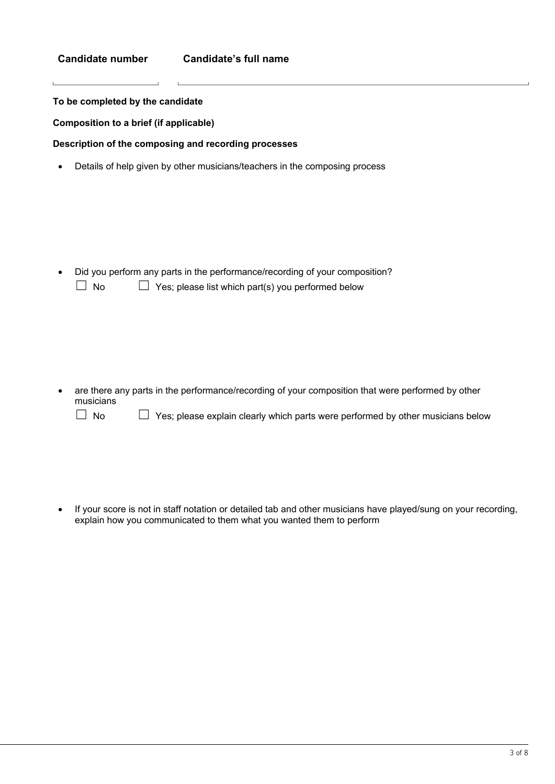### **Candidate number Candidate's full name**

**To be completed by the candidate** 

**Composition to a brief (if applicable)** 

**Description of the composing and recording processes** 

Details of help given by other musicians/teachers in the composing process

 Did you perform any parts in the performance/recording of your composition?  $\Box$  No  $\Box$  Yes; please list which part(s) you performed below

 are there any parts in the performance/recording of your composition that were performed by other musicians

☐ No ☐ Yes; please explain clearly which parts were performed by other musicians below

 If your score is not in staff notation or detailed tab and other musicians have played/sung on your recording, explain how you communicated to them what you wanted them to perform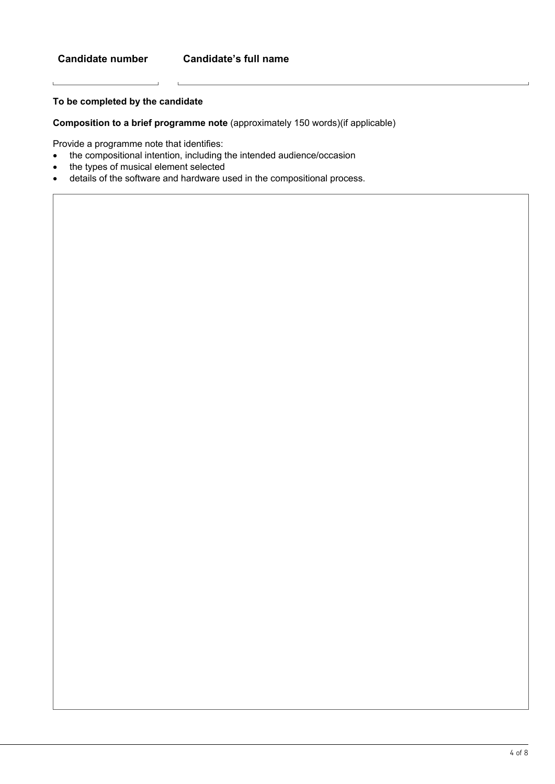L

# **To be completed by the candidate**

**Composition to a brief programme note** (approximately 150 words)(if applicable)

Provide a programme note that identifies:

 $\sim$  1.

 $\overline{a}$ 

- the compositional intention, including the intended audience/occasion
- the types of musical element selected
- details of the software and hardware used in the compositional process.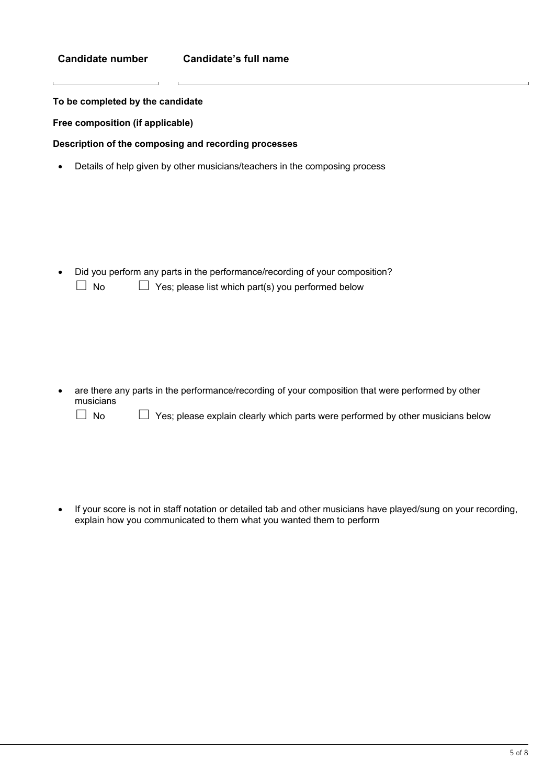**To be completed by the candidate** 

**Free composition (if applicable)** 

**Description of the composing and recording processes** 

Details of help given by other musicians/teachers in the composing process

 Did you perform any parts in the performance/recording of your composition?  $\Box$  No  $\Box$  Yes; please list which part(s) you performed below

 are there any parts in the performance/recording of your composition that were performed by other musicians

☐ No ☐ Yes; please explain clearly which parts were performed by other musicians below

 If your score is not in staff notation or detailed tab and other musicians have played/sung on your recording, explain how you communicated to them what you wanted them to perform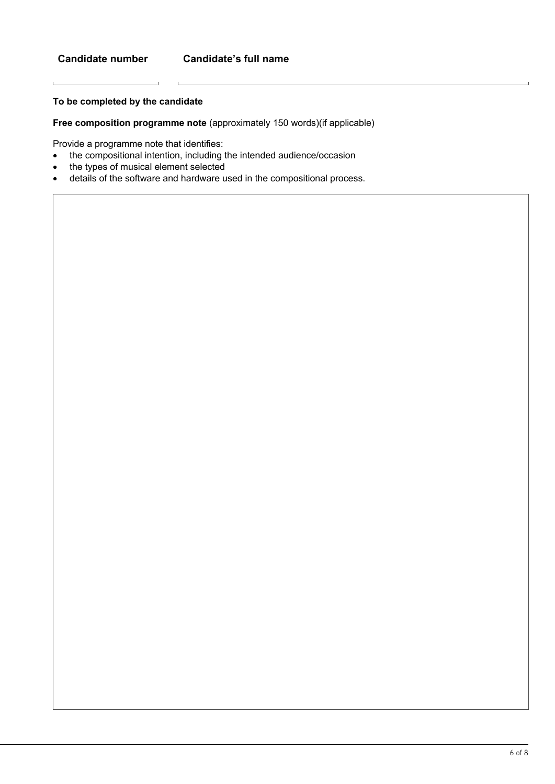L

# **To be completed by the candidate**

**Free composition programme note** (approximately 150 words)(if applicable)

Provide a programme note that identifies:

 $\sim$  1.

 $\overline{a}$ 

- the compositional intention, including the intended audience/occasion
- the types of musical element selected
- details of the software and hardware used in the compositional process.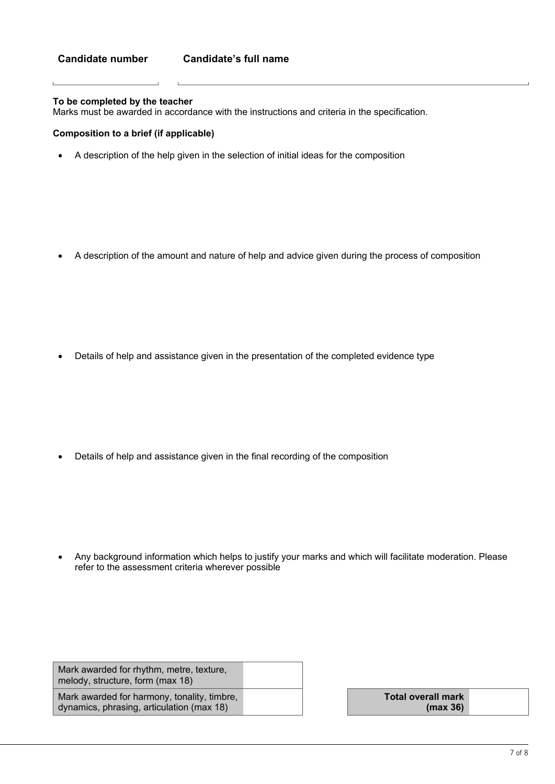### **To be completed by the teacher**

Marks must be awarded in accordance with the instructions and criteria in the specification.

### **Composition to a brief (if applicable)**

A description of the help given in the selection of initial ideas for the composition

A description of the amount and nature of help and advice given during the process of composition

Details of help and assistance given in the presentation of the completed evidence type

Details of help and assistance given in the final recording of the composition

 Any background information which helps to justify your marks and which will facilitate moderation. Please refer to the assessment criteria wherever possible

| Mark awarded for rhythm, metre, texture,<br>melody, structure, form (max 18)             |  |                                       |
|------------------------------------------------------------------------------------------|--|---------------------------------------|
| Mark awarded for harmony, tonality, timbre,<br>dynamics, phrasing, articulation (max 18) |  | <b>Total overall mark</b><br>(max 36) |

**(max 36)**